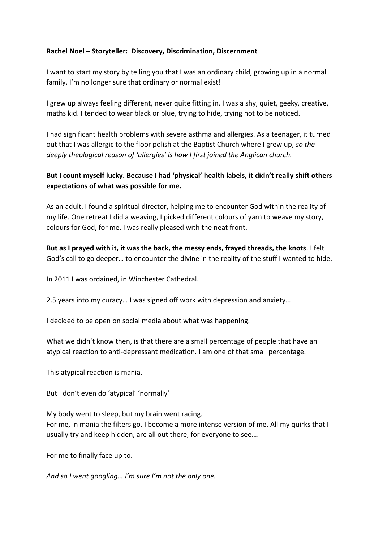## **Rachel Noel – Storyteller: Discovery, Discrimination, Discernment**

I want to start my story by telling you that I was an ordinary child, growing up in a normal family. I'm no longer sure that ordinary or normal exist!

I grew up always feeling different, never quite fitting in. I was a shy, quiet, geeky, creative, maths kid. I tended to wear black or blue, trying to hide, trying not to be noticed.

I had significant health problems with severe asthma and allergies. As a teenager, it turned out that I was allergic to the floor polish at the Baptist Church where I grew up, *so the deeply theological reason of 'allergies' is how I first joined the Anglican church.*

## **But I count myself lucky. Because I had 'physical' health labels, it didn't really shift others expectations of what was possible for me.**

As an adult, I found a spiritual director, helping me to encounter God within the reality of my life. One retreat I did a weaving, I picked different colours of yarn to weave my story, colours for God, for me. I was really pleased with the neat front.

**But as I prayed with it, it was the back, the messy ends, frayed threads, the knots**. I felt God's call to go deeper… to encounter the divine in the reality of the stuff I wanted to hide.

In 2011 I was ordained, in Winchester Cathedral.

2.5 years into my curacy… I was signed off work with depression and anxiety…

I decided to be open on social media about what was happening.

What we didn't know then, is that there are a small percentage of people that have an atypical reaction to anti-depressant medication. I am one of that small percentage.

This atypical reaction is mania.

But I don't even do 'atypical' 'normally'

My body went to sleep, but my brain went racing. For me, in mania the filters go, I become a more intense version of me. All my quirks that I usually try and keep hidden, are all out there, for everyone to see….

For me to finally face up to.

*And so I went googling… I'm sure I'm not the only one.*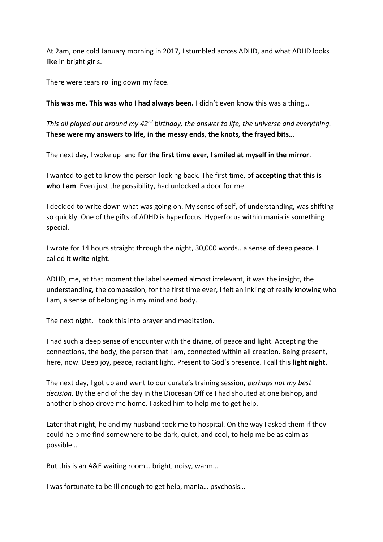At 2am, one cold January morning in 2017, I stumbled across ADHD, and what ADHD looks like in bright girls.

There were tears rolling down my face.

**This was me. This was who I had always been.** I didn't even know this was a thing…

*This all played out around my 42nd birthday, the answer to life, the universe and everything.* **These were my answers to life, in the messy ends, the knots, the frayed bits…**

The next day, I woke up and **for the first time ever, I smiled at myself in the mirror**.

I wanted to get to know the person looking back. The first time, of **accepting that this is who I am**. Even just the possibility, had unlocked a door for me.

I decided to write down what was going on. My sense of self, of understanding, was shifting so quickly. One of the gifts of ADHD is hyperfocus. Hyperfocus within mania is something special.

I wrote for 14 hours straight through the night, 30,000 words.. a sense of deep peace. I called it **write night**.

ADHD, me, at that moment the label seemed almost irrelevant, it was the insight, the understanding, the compassion, for the first time ever, I felt an inkling of really knowing who I am, a sense of belonging in my mind and body.

The next night, I took this into prayer and meditation.

I had such a deep sense of encounter with the divine, of peace and light. Accepting the connections, the body, the person that I am, connected within all creation. Being present, here, now. Deep joy, peace, radiant light. Present to God's presence. I call this **light night.**

The next day, I got up and went to our curate's training session, *perhaps not my best decision.* By the end of the day in the Diocesan Office I had shouted at one bishop, and another bishop drove me home. I asked him to help me to get help.

Later that night, he and my husband took me to hospital. On the way I asked them if they could help me find somewhere to be dark, quiet, and cool, to help me be as calm as possible…

But this is an A&E waiting room… bright, noisy, warm…

I was fortunate to be ill enough to get help, mania… psychosis…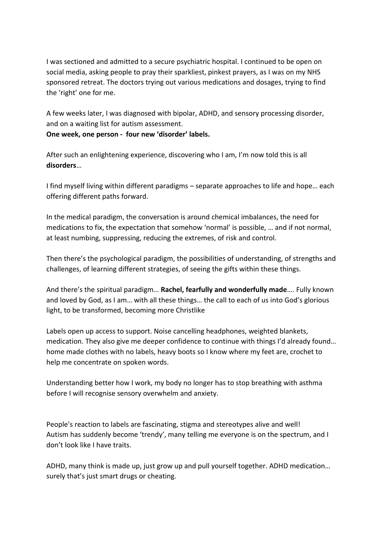I was sectioned and admitted to a secure psychiatric hospital. I continued to be open on social media, asking people to pray their sparkliest, pinkest prayers, as I was on my NHS sponsored retreat. The doctors trying out various medications and dosages, trying to find the 'right' one for me.

A few weeks later, I was diagnosed with bipolar, ADHD, and sensory processing disorder, and on a waiting list for autism assessment. **One week, one person - four new 'disorder' labels.**

After such an enlightening experience, discovering who I am, I'm now told this is all **disorders**…

I find myself living within different paradigms – separate approaches to life and hope… each offering different paths forward.

In the medical paradigm, the conversation is around chemical imbalances, the need for medications to fix, the expectation that somehow 'normal' is possible, … and if not normal, at least numbing, suppressing, reducing the extremes, of risk and control.

Then there's the psychological paradigm, the possibilities of understanding, of strengths and challenges, of learning different strategies, of seeing the gifts within these things.

And there's the spiritual paradigm… **Rachel, fearfully and wonderfully made**…. Fully known and loved by God, as I am… with all these things… the call to each of us into God's glorious light, to be transformed, becoming more Christlike

Labels open up access to support. Noise cancelling headphones, weighted blankets, medication. They also give me deeper confidence to continue with things I'd already found… home made clothes with no labels, heavy boots so I know where my feet are, crochet to help me concentrate on spoken words.

Understanding better how I work, my body no longer has to stop breathing with asthma before I will recognise sensory overwhelm and anxiety.

People's reaction to labels are fascinating, stigma and stereotypes alive and well! Autism has suddenly become 'trendy', many telling me everyone is on the spectrum, and I don't look like I have traits.

ADHD, many think is made up, just grow up and pull yourself together. ADHD medication… surely that's just smart drugs or cheating.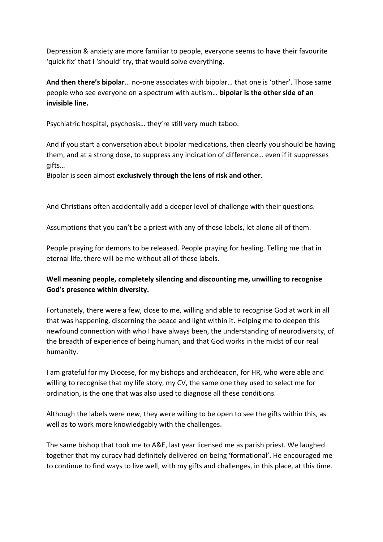Depression & anxiety are more familiar to people, everyone seems to have their favourite 'quick fix' that I 'should' try, that would solve everything.

**And then there's bipolar**… no-one associates with bipolar… that one is 'other'. Those same people who see everyone on a spectrum with autism… **bipolar is the other side of an invisible line.**

Psychiatric hospital, psychosis… they're still very much taboo.

And if you start a conversation about bipolar medications, then clearly you should be having them, and at a strong dose, to suppress any indication of difference… even if it suppresses gifts…

Bipolar is seen almost **exclusively through the lens of risk and other.**

And Christians often accidentally add a deeper level of challenge with their questions.

Assumptions that you can't be a priest with any of these labels, let alone all of them.

People praying for demons to be released. People praying for healing. Telling me that in eternal life, there will be me without all of these labels.

## **Well meaning people, completely silencing and discounting me, unwilling to recognise God's presence within diversity.**

Fortunately, there were a few, close to me, willing and able to recognise God at work in all that was happening, discerning the peace and light within it. Helping me to deepen this newfound connection with who I have always been, the understanding of neurodiversity, of the breadth of experience of being human, and that God works in the midst of our real humanity.

I am grateful for my Diocese, for my bishops and archdeacon, for HR, who were able and willing to recognise that my life story, my CV, the same one they used to select me for ordination, is the one that was also used to diagnose all these conditions.

Although the labels were new, they were willing to be open to see the gifts within this, as well as to work more knowledgably with the challenges.

The same bishop that took me to A&E, last year licensed me as parish priest. We laughed together that my curacy had definitely delivered on being 'formational'. He encouraged me to continue to find ways to live well, with my gifts and challenges, in this place, at this time.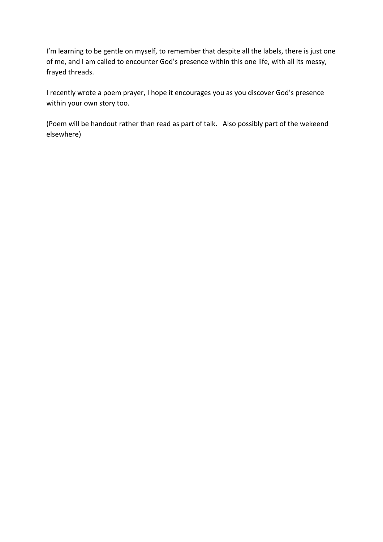I'm learning to be gentle on myself, to remember that despite all the labels, there is just one of me, and I am called to encounter God's presence within this one life, with all its messy, frayed threads.

I recently wrote a poem prayer, I hope it encourages you as you discover God's presence within your own story too.

(Poem will be handout rather than read as part of talk. Also possibly part of the wekeend elsewhere)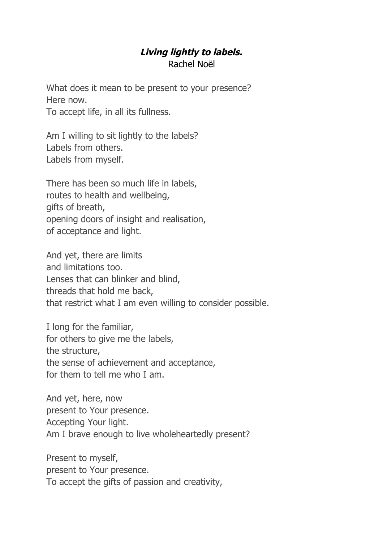## **Living lightly to labels.** Rachel Noël

What does it mean to be present to your presence? Here now.

To accept life, in all its fullness.

Am I willing to sit lightly to the labels? Labels from others. Labels from myself.

There has been so much life in labels, routes to health and wellbeing, gifts of breath, opening doors of insight and realisation, of acceptance and light.

And yet, there are limits and limitations too. Lenses that can blinker and blind, threads that hold me back, that restrict what I am even willing to consider possible.

I long for the familiar, for others to give me the labels, the structure, the sense of achievement and acceptance, for them to tell me who I am.

And yet, here, now present to Your presence. Accepting Your light. Am I brave enough to live wholeheartedly present?

Present to myself, present to Your presence. To accept the gifts of passion and creativity,